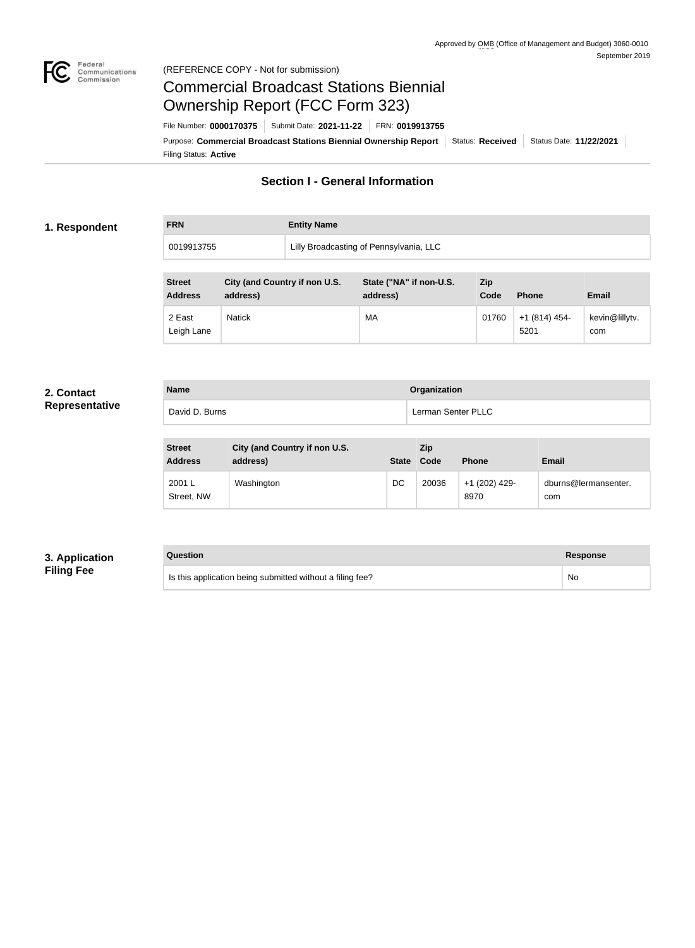

#### Federal<br>Communications<br>Commission (REFERENCE COPY - Not for submission)

# Commercial Broadcast Stations Biennial Ownership Report (FCC Form 323)

Filing Status: **Active** Purpose: Commercial Broadcast Stations Biennial Ownership Report Status: Received Status Date: 11/22/2021 File Number: **0000170375** Submit Date: **2021-11-22** FRN: **0019913755**

## **Section I - General Information**

### **1. Respondent**

**FRN Entity Name**

0019913755 | Lilly Broadcasting of Pennsylvania, LLC

| <b>Street</b><br><b>Address</b> | City (and Country if non U.S.<br>address) | State ("NA" if non-U.S.<br>address) | Zip<br>Code | <b>Phone</b>          | <b>Email</b>          |
|---------------------------------|-------------------------------------------|-------------------------------------|-------------|-----------------------|-----------------------|
| 2 East<br>Leigh Lane            | <b>Natick</b>                             | МA                                  | 01760       | +1 (814) 454-<br>5201 | kevin@lillytv.<br>com |

#### **2. Contact Representative**

| <b>Name</b>    | Organization       |
|----------------|--------------------|
| David D. Burns | Lerman Senter PLLC |
|                |                    |

| <b>Street</b><br><b>Address</b> | City (and Country if non U.S.<br>address) | <b>State</b> | Zip<br>Code | <b>Phone</b>          | <b>Email</b>                |
|---------------------------------|-------------------------------------------|--------------|-------------|-----------------------|-----------------------------|
| 2001 L<br>Street, NW            | Washington                                | DC           | 20036       | +1 (202) 429-<br>8970 | dburns@lermansenter.<br>com |

### **3. Application Filing Fee**

**Question Response**

| Is this application being submitted without a filing fee? | <b>Nc</b> |
|-----------------------------------------------------------|-----------|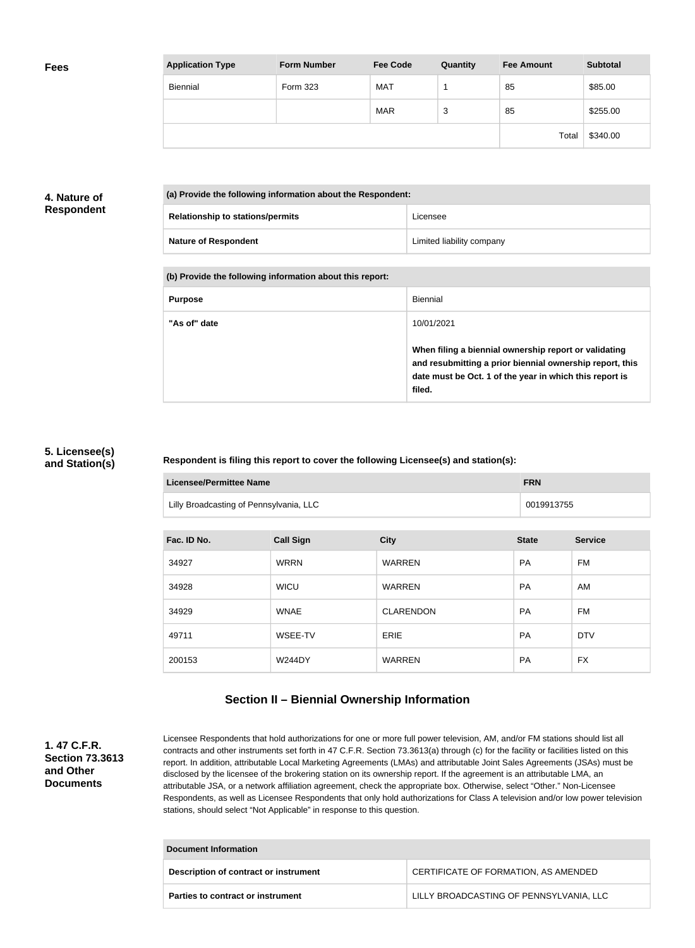| <b>Application Type</b> | <b>Form Number</b> | <b>Fee Code</b> | Quantity | <b>Fee Amount</b> | <b>Subtotal</b> |
|-------------------------|--------------------|-----------------|----------|-------------------|-----------------|
| Biennial                | <b>Form 323</b>    | <b>MAT</b>      |          | 85                | \$85.00         |
|                         |                    | <b>MAR</b>      | 3        | 85                | \$255.00        |
|                         |                    |                 |          | Total             | \$340.00        |

#### **4. Nature of Respondent**

| (a) Provide the following information about the Respondent: |                           |  |  |
|-------------------------------------------------------------|---------------------------|--|--|
| <b>Relationship to stations/permits</b>                     | Licensee                  |  |  |
| <b>Nature of Respondent</b>                                 | Limited liability company |  |  |

#### **(b) Provide the following information about this report:**

| <b>Purpose</b> | Biennial                                                                                                                                                                               |
|----------------|----------------------------------------------------------------------------------------------------------------------------------------------------------------------------------------|
| "As of" date   | 10/01/2021                                                                                                                                                                             |
|                | When filing a biennial ownership report or validating<br>and resubmitting a prior biennial ownership report, this<br>date must be Oct. 1 of the year in which this report is<br>filed. |

#### **5. Licensee(s) and Station(s)**

#### **Respondent is filing this report to cover the following Licensee(s) and station(s):**

| Licensee/Permittee Name                 | <b>FRN</b> |
|-----------------------------------------|------------|
| Lilly Broadcasting of Pennsylvania, LLC | 0019913755 |

| Fac. ID No. | <b>Call Sign</b> | <b>City</b>      | <b>State</b> | <b>Service</b> |
|-------------|------------------|------------------|--------------|----------------|
| 34927       | <b>WRRN</b>      | <b>WARREN</b>    | <b>PA</b>    | FM             |
| 34928       | <b>WICU</b>      | <b>WARREN</b>    | <b>PA</b>    | AM             |
| 34929       | <b>WNAE</b>      | <b>CLARENDON</b> | <b>PA</b>    | FM             |
| 49711       | WSEE-TV          | <b>ERIE</b>      | <b>PA</b>    | <b>DTV</b>     |
| 200153      | <b>W244DY</b>    | <b>WARREN</b>    | <b>PA</b>    | <b>FX</b>      |

## **Section II – Biennial Ownership Information**

**1. 47 C.F.R. Section 73.3613 and Other Documents**

Licensee Respondents that hold authorizations for one or more full power television, AM, and/or FM stations should list all contracts and other instruments set forth in 47 C.F.R. Section 73.3613(a) through (c) for the facility or facilities listed on this report. In addition, attributable Local Marketing Agreements (LMAs) and attributable Joint Sales Agreements (JSAs) must be disclosed by the licensee of the brokering station on its ownership report. If the agreement is an attributable LMA, an attributable JSA, or a network affiliation agreement, check the appropriate box. Otherwise, select "Other." Non-Licensee Respondents, as well as Licensee Respondents that only hold authorizations for Class A television and/or low power television stations, should select "Not Applicable" in response to this question.

| Document Information                  |                                         |  |  |
|---------------------------------------|-----------------------------------------|--|--|
| Description of contract or instrument | CERTIFICATE OF FORMATION, AS AMENDED    |  |  |
| Parties to contract or instrument     | LILLY BROADCASTING OF PENNSYLVANIA, LLC |  |  |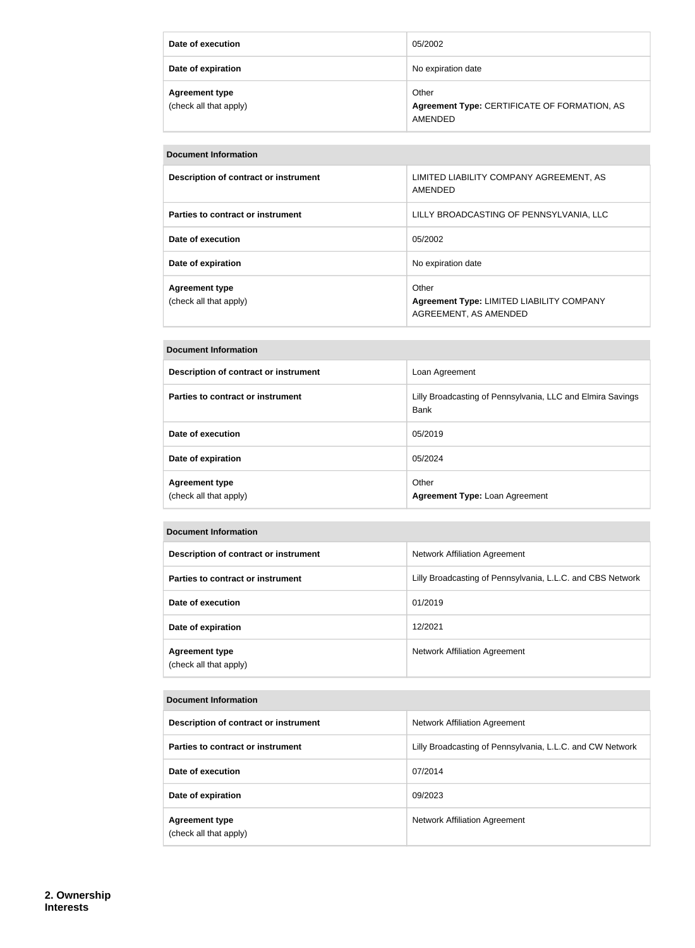| Date of execution                               | 05/2002                                                          |
|-------------------------------------------------|------------------------------------------------------------------|
| Date of expiration                              | No expiration date                                               |
| <b>Agreement type</b><br>(check all that apply) | Other<br>Agreement Type: CERTIFICATE OF FORMATION, AS<br>AMENDED |

#### **Document Information**

| Description of contract or instrument           | LIMITED LIABILITY COMPANY AGREEMENT, AS<br>AMENDED                          |
|-------------------------------------------------|-----------------------------------------------------------------------------|
| Parties to contract or instrument               | LILLY BROADCASTING OF PENNSYLVANIA, LLC                                     |
| Date of execution                               | 05/2002                                                                     |
| Date of expiration                              | No expiration date                                                          |
| <b>Agreement type</b><br>(check all that apply) | Other<br>Agreement Type: LIMITED LIABILITY COMPANY<br>AGREEMENT, AS AMENDED |

#### **Document Information**

| Description of contract or instrument           | Loan Agreement                                                     |
|-------------------------------------------------|--------------------------------------------------------------------|
| Parties to contract or instrument               | Lilly Broadcasting of Pennsylvania, LLC and Elmira Savings<br>Bank |
| Date of execution                               | 05/2019                                                            |
| Date of expiration                              | 05/2024                                                            |
| <b>Agreement type</b><br>(check all that apply) | Other<br><b>Agreement Type: Loan Agreement</b>                     |

| Document Information                            |                                                            |  |  |
|-------------------------------------------------|------------------------------------------------------------|--|--|
| Description of contract or instrument           | <b>Network Affiliation Agreement</b>                       |  |  |
| Parties to contract or instrument               | Lilly Broadcasting of Pennsylvania, L.L.C. and CBS Network |  |  |
| Date of execution                               | 01/2019                                                    |  |  |
| Date of expiration                              | 12/2021                                                    |  |  |
| <b>Agreement type</b><br>(check all that apply) | Network Affiliation Agreement                              |  |  |

## **Document Information Description of contract or instrument** Network Affiliation Agreement **Parties to contract or instrument Example 20 Telluming Lilly Broadcasting of Pennsylvania, L.L.C. and CW Network Date of execution** 07/2014 **Date of expiration** 09/2023 **Agreement type** (check all that apply) Network Affiliation Agreement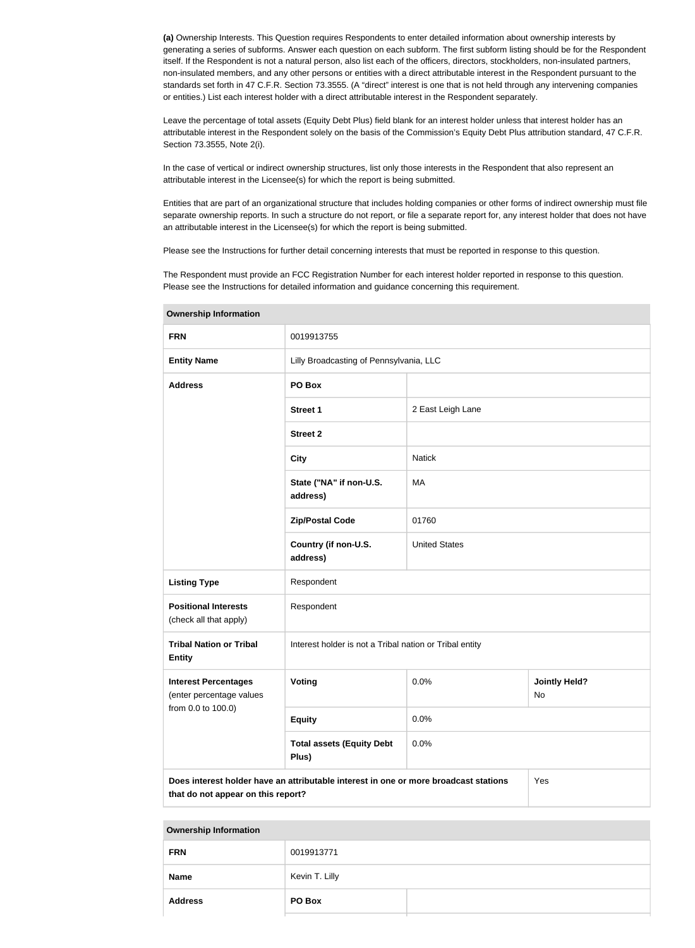**(a)** Ownership Interests. This Question requires Respondents to enter detailed information about ownership interests by generating a series of subforms. Answer each question on each subform. The first subform listing should be for the Respondent itself. If the Respondent is not a natural person, also list each of the officers, directors, stockholders, non-insulated partners, non-insulated members, and any other persons or entities with a direct attributable interest in the Respondent pursuant to the standards set forth in 47 C.F.R. Section 73.3555. (A "direct" interest is one that is not held through any intervening companies or entities.) List each interest holder with a direct attributable interest in the Respondent separately.

Leave the percentage of total assets (Equity Debt Plus) field blank for an interest holder unless that interest holder has an attributable interest in the Respondent solely on the basis of the Commission's Equity Debt Plus attribution standard, 47 C.F.R. Section 73.3555, Note 2(i).

In the case of vertical or indirect ownership structures, list only those interests in the Respondent that also represent an attributable interest in the Licensee(s) for which the report is being submitted.

Entities that are part of an organizational structure that includes holding companies or other forms of indirect ownership must file separate ownership reports. In such a structure do not report, or file a separate report for, any interest holder that does not have an attributable interest in the Licensee(s) for which the report is being submitted.

Please see the Instructions for further detail concerning interests that must be reported in response to this question.

The Respondent must provide an FCC Registration Number for each interest holder reported in response to this question. Please see the Instructions for detailed information and guidance concerning this requirement.

| Ownership information                                   |                                                                                      |                      |                            |
|---------------------------------------------------------|--------------------------------------------------------------------------------------|----------------------|----------------------------|
| <b>FRN</b>                                              | 0019913755                                                                           |                      |                            |
| <b>Entity Name</b>                                      | Lilly Broadcasting of Pennsylvania, LLC                                              |                      |                            |
| <b>Address</b>                                          | PO Box                                                                               |                      |                            |
|                                                         | <b>Street 1</b>                                                                      | 2 East Leigh Lane    |                            |
|                                                         | <b>Street 2</b>                                                                      |                      |                            |
|                                                         | <b>City</b>                                                                          | <b>Natick</b>        |                            |
|                                                         | State ("NA" if non-U.S.<br>address)                                                  | MA                   |                            |
|                                                         | <b>Zip/Postal Code</b>                                                               | 01760                |                            |
|                                                         | Country (if non-U.S.<br>address)                                                     | <b>United States</b> |                            |
| <b>Listing Type</b>                                     | Respondent                                                                           |                      |                            |
| <b>Positional Interests</b><br>(check all that apply)   | Respondent                                                                           |                      |                            |
| <b>Tribal Nation or Tribal</b><br><b>Entity</b>         | Interest holder is not a Tribal nation or Tribal entity                              |                      |                            |
| <b>Interest Percentages</b><br>(enter percentage values | Voting                                                                               | 0.0%                 | <b>Jointly Held?</b><br>No |
| from 0.0 to 100.0)                                      | <b>Equity</b>                                                                        | 0.0%                 |                            |
|                                                         | <b>Total assets (Equity Debt</b><br>Plus)                                            | 0.0%                 |                            |
| that do not appear on this report?                      | Does interest holder have an attributable interest in one or more broadcast stations |                      | Yes                        |

**Ownership Information**

#### **Ownership Information**

| <b>FRN</b>     | 0019913771     |  |
|----------------|----------------|--|
| <b>Name</b>    | Kevin T. Lilly |  |
| <b>Address</b> | PO Box         |  |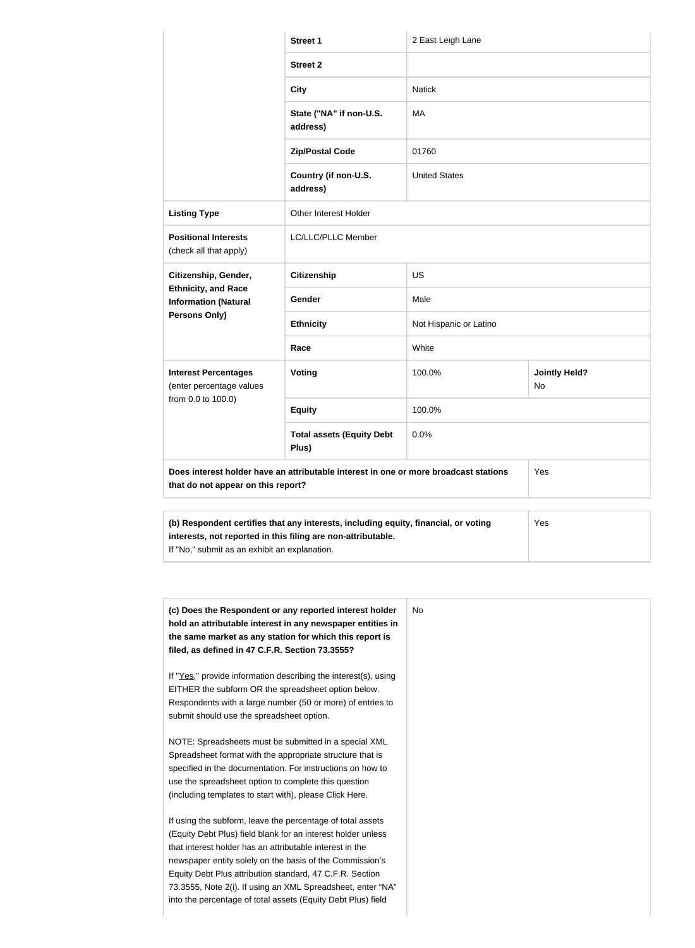|                                                           | <b>Street 1</b>                                                                            | 2 East Leigh Lane      |                                   |
|-----------------------------------------------------------|--------------------------------------------------------------------------------------------|------------------------|-----------------------------------|
|                                                           | <b>Street 2</b>                                                                            |                        |                                   |
|                                                           | <b>City</b>                                                                                | <b>Natick</b>          |                                   |
|                                                           | State ("NA" if non-U.S.<br>address)                                                        | MA                     |                                   |
|                                                           | <b>Zip/Postal Code</b>                                                                     | 01760                  |                                   |
|                                                           | Country (if non-U.S.<br>address)                                                           | <b>United States</b>   |                                   |
| <b>Listing Type</b>                                       | Other Interest Holder                                                                      |                        |                                   |
| <b>Positional Interests</b><br>(check all that apply)     | LC/LLC/PLLC Member                                                                         |                        |                                   |
| Citizenship, Gender,                                      | <b>Citizenship</b>                                                                         | <b>US</b>              |                                   |
| <b>Ethnicity, and Race</b><br><b>Information (Natural</b> | Gender                                                                                     | Male                   |                                   |
| Persons Only)                                             | <b>Ethnicity</b>                                                                           | Not Hispanic or Latino |                                   |
|                                                           | Race                                                                                       | White                  |                                   |
| <b>Interest Percentages</b><br>(enter percentage values   | Voting                                                                                     | 100.0%                 | <b>Jointly Held?</b><br><b>No</b> |
| from 0.0 to 100.0)                                        | <b>Equity</b>                                                                              | 100.0%                 |                                   |
|                                                           | <b>Total assets (Equity Debt</b><br>Plus)                                                  | 0.0%                   |                                   |
| that do not appear on this report?                        | Does interest holder have an attributable interest in one or more broadcast stations       |                        | Yes                               |
|                                                           |                                                                                            |                        |                                   |
|                                                           | (b) Respondent certifies that any interests, including equity, financial, or voting<br>Yes |                        |                                   |

| (b) Respondent certifies that any interests, including equity, financial, or voting | Yes |
|-------------------------------------------------------------------------------------|-----|
| interests, not reported in this filing are non-attributable.                        |     |
| If "No," submit as an exhibit an explanation.                                       |     |